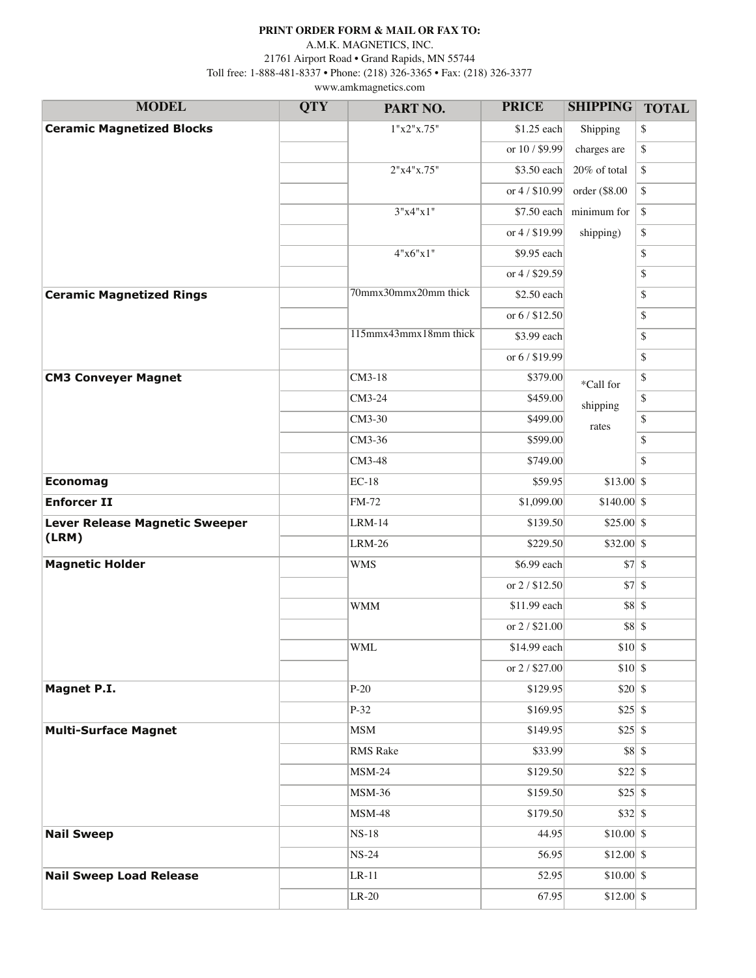## **PRINT ORDER FORM & MAIL OR FAX TO:**

www.amkmagnetics.com A.M.K. MAGNETICS, INC. 21761 Airport Road • Grand Rapids, MN 55744 Toll free: 1-888-481-8337 • Phone: (218) 326-3365 • Fax: (218) 326-3377

| <b>MODEL</b>                     | <b>QTY</b> | PART NO.              | <b>PRICE</b>   | <b>SHIPPING</b>             | <b>TOTAL</b> |
|----------------------------------|------------|-----------------------|----------------|-----------------------------|--------------|
| <b>Ceramic Magnetized Blocks</b> |            | 1"x2"x.75"            | $$1.25$ each   | Shipping                    | \$           |
|                                  |            |                       | or 10 / \$9.99 | charges are                 | \$           |
|                                  |            | 2"x4"x.75"            | \$3.50 each    | 20% of total                | \$           |
|                                  |            |                       | or 4 / \$10.99 | order (\$8.00               | \$           |
|                                  |            | 3"x4"x1"              | \$7.50 each    | minimum for                 | \$           |
|                                  |            |                       | or 4/\$19.99   | shipping)                   | \$           |
|                                  |            | 4"x6"x1"              | \$9.95 each    |                             | $\mathbb{S}$ |
|                                  |            |                       | or 4 / \$29.59 |                             | \$           |
| <b>Ceramic Magnetized Rings</b>  |            | 70mmx30mmx20mm thick  | \$2.50 each    |                             | \$           |
|                                  |            |                       | or 6 / \$12.50 |                             | \$           |
|                                  |            | 115mmx43mmx18mm thick | \$3.99 each    |                             | \$           |
|                                  |            |                       | or 6 / \$19.99 |                             | \$           |
| <b>CM3 Conveyer Magnet</b>       |            | CM3-18                | \$379.00       | *Call for                   | \$           |
|                                  |            | CM3-24                | \$459.00       | shipping                    | \$           |
|                                  |            | CM3-30                | \$499.00       | rates                       | \$           |
|                                  |            | CM3-36                | \$599.00       |                             | \$           |
|                                  |            | CM3-48                | \$749.00       |                             | \$           |
| <b>Economag</b>                  |            | $EC-18$               | \$59.95        | $$13.00$ \\$                |              |
| <b>Enforcer II</b>               |            | FM-72                 | \$1,099.00     | $$140.00$ \\$               |              |
| Lever Release Magnetic Sweeper   |            | $LRM-14$              | \$139.50       | $$25.00$ \\$                |              |
| (LRM)                            |            | $LRM-26$              | \$229.50       | $$32.00$ \\$                |              |
| <b>Magnetic Holder</b>           |            | <b>WMS</b>            | \$6.99 each    |                             | 37           |
|                                  |            |                       | or 2 / \$12.50 |                             | 37           |
|                                  |            | <b>WMM</b>            | \$11.99 each   |                             | $$8 $ \$     |
|                                  |            |                       | or 2/\$21.00   |                             | $$8 $ \$     |
|                                  |            | <b>WML</b>            | \$14.99 each   | $$10 \vert S$               |              |
|                                  |            |                       | or 2 / \$27.00 | $$10 \vert \$               |              |
| Magnet P.I.                      |            | $P-20$                | \$129.95       |                             |              |
|                                  |            | $P-32$                | \$169.95       | $$25 \overline{\smash{)}8}$ |              |
| <b>Multi-Surface Magnet</b>      |            | <b>MSM</b>            | \$149.95       |                             |              |
|                                  |            | <b>RMS</b> Rake       | \$33.99        |                             | 88           |
|                                  |            | $MSM-24$              | \$129.50       |                             |              |
|                                  |            | <b>MSM-36</b>         | \$159.50       |                             |              |
|                                  |            | <b>MSM-48</b>         | \$179.50       |                             |              |
| <b>Nail Sweep</b>                |            | $NS-18$               | 44.95          | $$10.00$ \$                 |              |
|                                  |            | $NS-24$               | 56.95          | $$12.00$ \ \$               |              |
| <b>Nail Sweep Load Release</b>   |            | $LR-11$               | 52.95          | $$10.00 $ \$                |              |
|                                  |            | $LR-20$               | 67.95          | $$12.00$ \ \$               |              |
|                                  |            |                       |                |                             |              |